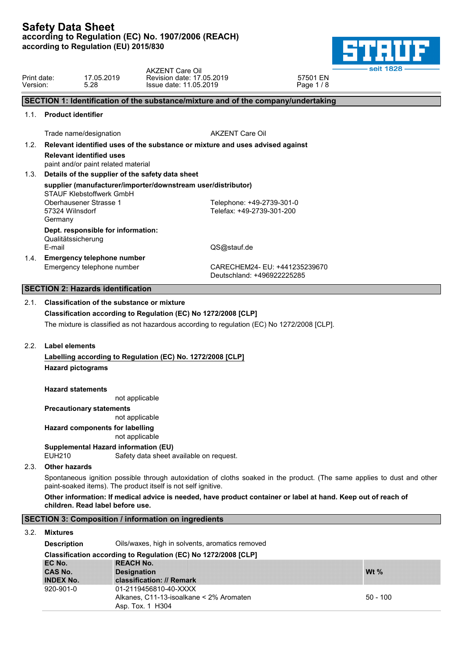

| Print date:<br>Version: |                              | 17.05.2019<br>5.28                                                     | <b>AKZENT Care Oil</b><br>Revision date: 17.05.2019<br>Issue date: 11.05.2019               | seit 1828<br>57501 EN<br>Page 1/8                                                                                       |
|-------------------------|------------------------------|------------------------------------------------------------------------|---------------------------------------------------------------------------------------------|-------------------------------------------------------------------------------------------------------------------------|
|                         |                              |                                                                        | SECTION 1: Identification of the substance/mixture and of the company/undertaking           |                                                                                                                         |
| 1.1.                    | <b>Product identifier</b>    |                                                                        |                                                                                             |                                                                                                                         |
|                         |                              | Trade name/designation                                                 | <b>AKZENT Care Oil</b>                                                                      |                                                                                                                         |
| 1.2.                    |                              |                                                                        | Relevant identified uses of the substance or mixture and uses advised against               |                                                                                                                         |
|                         |                              | <b>Relevant identified uses</b><br>paint and/or paint related material |                                                                                             |                                                                                                                         |
| 1.3.                    |                              |                                                                        | Details of the supplier of the safety data sheet                                            |                                                                                                                         |
|                         |                              | STAUF Klebstoffwerk GmbH                                               | supplier (manufacturer/importer/downstream user/distributor)                                |                                                                                                                         |
|                         | 57324 Wilnsdorf<br>Germany   | Oberhausener Strasse 1                                                 | Telephone: +49-2739-301-0<br>Telefax: +49-2739-301-200                                      |                                                                                                                         |
|                         | Qualitätssicherung<br>E-mail | Dept. responsible for information:                                     | QS@stauf.de                                                                                 |                                                                                                                         |
| 1.4.                    |                              | <b>Emergency telephone number</b><br>Emergency telephone number        |                                                                                             | CARECHEM24- EU: +441235239670<br>Deutschland: +496922225285                                                             |
|                         |                              | <b>SECTION 2: Hazards identification</b>                               |                                                                                             |                                                                                                                         |
| 2.1.                    |                              | <b>Classification of the substance or mixture</b>                      |                                                                                             |                                                                                                                         |
|                         |                              |                                                                        | Classification according to Regulation (EC) No 1272/2008 [CLP]                              |                                                                                                                         |
|                         |                              |                                                                        | The mixture is classified as not hazardous according to regulation (EC) No 1272/2008 [CLP]. |                                                                                                                         |
| 2.2.                    | Label elements               |                                                                        |                                                                                             |                                                                                                                         |
|                         |                              |                                                                        | Labelling according to Regulation (EC) No. 1272/2008 [CLP]                                  |                                                                                                                         |
|                         |                              | <b>Hazard pictograms</b>                                               |                                                                                             |                                                                                                                         |
|                         |                              | <b>Hazard statements</b>                                               |                                                                                             |                                                                                                                         |
|                         |                              | <b>Precautionary statements</b>                                        | not applicable                                                                              |                                                                                                                         |
|                         |                              |                                                                        | not applicable                                                                              |                                                                                                                         |
|                         |                              | <b>Hazard components for labelling</b>                                 | not applicable                                                                              |                                                                                                                         |
|                         | <b>EUH210</b>                | Supplemental Hazard information (EU)                                   | Safety data sheet available on request.                                                     |                                                                                                                         |
| 2.3.                    | <b>Other hazards</b>         |                                                                        |                                                                                             |                                                                                                                         |
|                         |                              |                                                                        | paint-soaked items). The product itself is not self ignitive.                               | Spontaneous ignition possible through autoxidation of cloths soaked in the product. (The same applies to dust and other |
|                         |                              | children. Read label before use.                                       |                                                                                             | Other information: If medical advice is needed, have product container or label at hand. Keep out of reach of           |

| <b>SECTION 3: Composition / information on ingredients</b> |
|------------------------------------------------------------|
|------------------------------------------------------------|

## 3.2. **Mixtures**

| <b>Description</b>            | Oils/waxes, high in solvents, aromatics removed                                                                   |            |  |  |  |  |  |
|-------------------------------|-------------------------------------------------------------------------------------------------------------------|------------|--|--|--|--|--|
|                               | Classification according to Regulation (EC) No 1272/2008 [CLP]                                                    |            |  |  |  |  |  |
| EC No.<br><b>CAS No.</b>      | <b>REACH No.</b><br><b>Designation</b>                                                                            | Wt $\%$    |  |  |  |  |  |
| <b>INDEX No.</b><br>920-901-0 | classification: // Remark<br>01-2119456810-40-XXXX<br>Alkanes, C11-13-isoalkane < 2% Aromaten<br>Asp. Tox. 1 H304 | $50 - 100$ |  |  |  |  |  |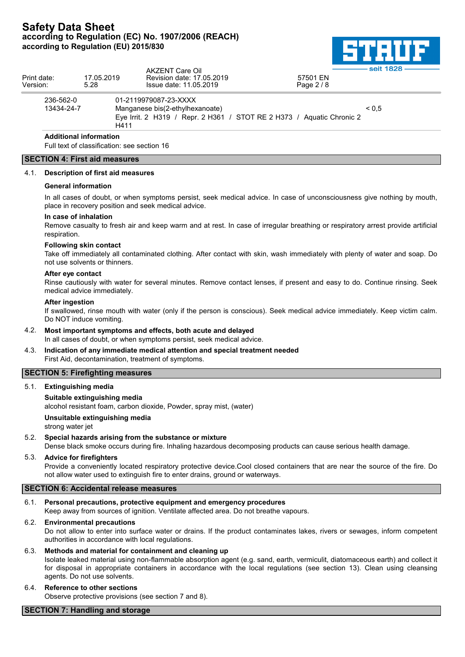

| Print date:<br>Version: | 17.05.2019<br>5.28 | AKZENT Care Oil<br>Revision date: 17.05.2019<br>Issue date: 11.05.2019 | 57501 EN<br>Page $2/8$                                                | - seit 1828 – |
|-------------------------|--------------------|------------------------------------------------------------------------|-----------------------------------------------------------------------|---------------|
| 236-562-0<br>13434-24-7 |                    | 01-2119979087-23-XXXX<br>Manganese bis(2-ethylhexanoate)<br>H411       | Eye Irrit. 2 H319 / Repr. 2 H361 / STOT RE 2 H373 / Aguatic Chronic 2 | ${}_{0.5}$    |

# **Additional information**

Full text of classification: see section 16

## **SECTION 4: First aid measures**

#### 4.1. **Description of first aid measures**

#### **General information**

In all cases of doubt, or when symptoms persist, seek medical advice. In case of unconsciousness give nothing by mouth, place in recovery position and seek medical advice.

#### **In case of inhalation**

Remove casualty to fresh air and keep warm and at rest. In case of irregular breathing or respiratory arrest provide artificial respiration.

#### **Following skin contact**

Take off immediately all contaminated clothing. After contact with skin, wash immediately with plenty of water and soap. Do not use solvents or thinners.

#### **After eye contact**

Rinse cautiously with water for several minutes. Remove contact lenses, if present and easy to do. Continue rinsing. Seek medical advice immediately.

#### **After ingestion**

If swallowed, rinse mouth with water (only if the person is conscious). Seek medical advice immediately. Keep victim calm. Do NOT induce vomiting.

- 4.2. **Most important symptoms and effects, both acute and delayed** In all cases of doubt, or when symptoms persist, seek medical advice.
- 4.3. **Indication of any immediate medical attention and special treatment needed** First Aid, decontamination, treatment of symptoms.

## **SECTION 5: Firefighting measures**

5.1. **Extinguishing media**

#### **Suitable extinguishing media**

alcohol resistant foam, carbon dioxide, Powder, spray mist, (water)

#### **Unsuitable extinguishing media**

strong water jet

#### 5.2. **Special hazards arising from the substance or mixture**

Dense black smoke occurs during fire. Inhaling hazardous decomposing products can cause serious health damage.

#### 5.3. **Advice for firefighters**

Provide a conveniently located respiratory protective device.Cool closed containers that are near the source of the fire. Do not allow water used to extinguish fire to enter drains, ground or waterways.

#### **SECTION 6: Accidental release measures**

#### 6.1. **Personal precautions, protective equipment and emergency procedures**

Keep away from sources of ignition. Ventilate affected area. Do not breathe vapours.

#### 6.2. **Environmental precautions**

Do not allow to enter into surface water or drains. If the product contaminates lakes, rivers or sewages, inform competent authorities in accordance with local regulations.

- 6.3. **Methods and material for containment and cleaning up** Isolate leaked material using non-flammable absorption agent (e.g. sand, earth, vermiculit, diatomaceous earth) and collect it for disposal in appropriate containers in accordance with the local regulations (see section 13). Clean using cleansing agents. Do not use solvents.
- 6.4. **Reference to other sections** Observe protective provisions (see section 7 and 8).

#### **SECTION 7: Handling and storage**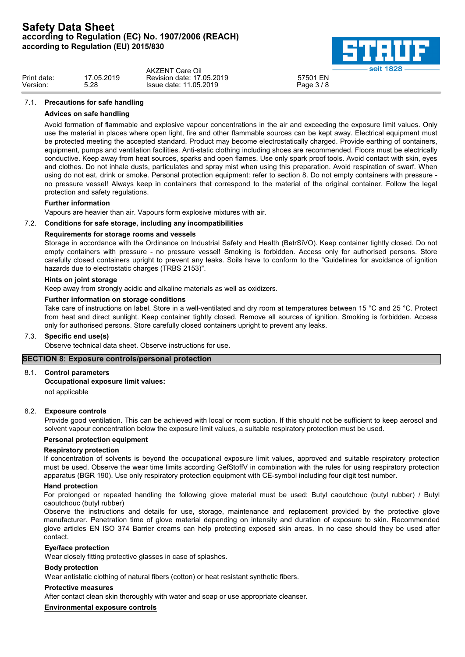

|             |            | <b>AKZENT Care Oil</b>    | seit 1828 |  |
|-------------|------------|---------------------------|-----------|--|
| Print date: | 17.05.2019 | Revision date: 17.05.2019 | 57501 EN  |  |
| Version:    | 5.28       | Issue date: 11.05.2019    | Page 3/8  |  |

### 7.1. **Precautions for safe handling**

### **Advices on safe handling**

Avoid formation of flammable and explosive vapour concentrations in the air and exceeding the exposure limit values. Only use the material in places where open light, fire and other flammable sources can be kept away. Electrical equipment must be protected meeting the accepted standard. Product may become electrostatically charged. Provide earthing of containers, equipment, pumps and ventilation facilities. Anti-static clothing including shoes are recommended. Floors must be electrically conductive. Keep away from heat sources, sparks and open flames. Use only spark proof tools. Avoid contact with skin, eyes and clothes. Do not inhale dusts, particulates and spray mist when using this preparation. Avoid respiration of swarf. When using do not eat, drink or smoke. Personal protection equipment: refer to section 8. Do not empty containers with pressure no pressure vessel! Always keep in containers that correspond to the material of the original container. Follow the legal protection and safety regulations.

### **Further information**

Vapours are heavier than air. Vapours form explosive mixtures with air.

### 7.2. **Conditions for safe storage, including any incompatibilities**

### **Requirements for storage rooms and vessels**

Storage in accordance with the Ordinance on Industrial Safety and Health (BetrSiVO). Keep container tightly closed. Do not empty containers with pressure - no pressure vessel! Smoking is forbidden. Access only for authorised persons. Store carefully closed containers upright to prevent any leaks. Soils have to conform to the "Guidelines for avoidance of ignition hazards due to electrostatic charges (TRBS 2153)".

### **Hints on joint storage**

Keep away from strongly acidic and alkaline materials as well as oxidizers.

#### **Further information on storage conditions**

Take care of instructions on label. Store in a well-ventilated and dry room at temperatures between 15 °C and 25 °C. Protect from heat and direct sunlight. Keep container tightly closed. Remove all sources of ignition. Smoking is forbidden. Access only for authorised persons. Store carefully closed containers upright to prevent any leaks.

#### 7.3. **Specific end use(s)**

Observe technical data sheet. Observe instructions for use.

## **SECTION 8: Exposure controls/personal protection**

#### 8.1. **Control parameters**

#### **Occupational exposure limit values:**

not applicable

## 8.2. **Exposure controls**

Provide good ventilation. This can be achieved with local or room suction. If this should not be sufficient to keep aerosol and solvent vapour concentration below the exposure limit values, a suitable respiratory protection must be used.

### **Personal protection equipment**

#### **Respiratory protection**

If concentration of solvents is beyond the occupational exposure limit values, approved and suitable respiratory protection must be used. Observe the wear time limits according GefStoffV in combination with the rules for using respiratory protection apparatus (BGR 190). Use only respiratory protection equipment with CE-symbol including four digit test number.

#### **Hand protection**

For prolonged or repeated handling the following glove material must be used: Butyl caoutchouc (butyl rubber) / Butyl caoutchouc (butyl rubber)

Observe the instructions and details for use, storage, maintenance and replacement provided by the protective glove manufacturer. Penetration time of glove material depending on intensity and duration of exposure to skin. Recommended glove articles EN ISO 374 Barrier creams can help protecting exposed skin areas. In no case should they be used after contact.

#### **Eye/face protection**

Wear closely fitting protective glasses in case of splashes.

#### **Body protection**

Wear antistatic clothing of natural fibers (cotton) or heat resistant synthetic fibers.

#### **Protective measures**

After contact clean skin thoroughly with water and soap or use appropriate cleanser.

**Environmental exposure controls**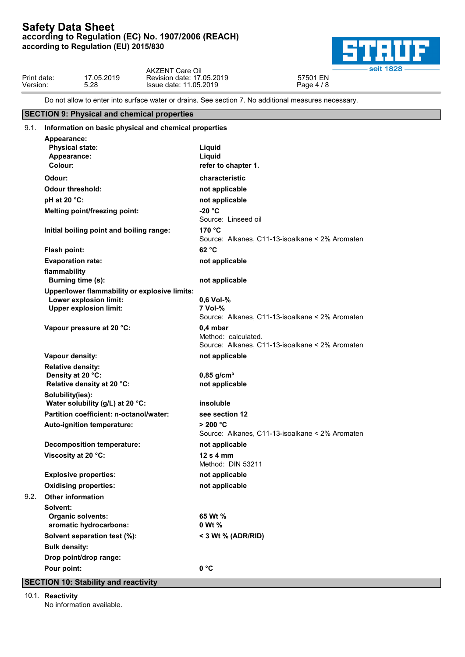

| Print date:<br>57501 EN<br>7.05.2019<br>17.05.2019<br>Revision date:<br>Version:<br>11.05.2019<br>5.28<br>$\cdot$ 10<br>Issue date: |  | <b>AKZENT Care Oil</b> | 1828 -     |  |
|-------------------------------------------------------------------------------------------------------------------------------------|--|------------------------|------------|--|
|                                                                                                                                     |  |                        | $Page 4$ . |  |

Do not allow to enter into surface water or drains. See section 7. No additional measures necessary.

## **SECTION 9: Physical and chemical properties**

|      | 9.1. Information on basic physical and chemical properties                  |                                                                                      |
|------|-----------------------------------------------------------------------------|--------------------------------------------------------------------------------------|
|      | Appearance:<br><b>Physical state:</b><br>Appearance:<br>Colour:             | Liquid<br>Liquid<br>refer to chapter 1.                                              |
|      | Odour:                                                                      | characteristic                                                                       |
|      | Odour threshold:                                                            | not applicable                                                                       |
|      | pH at 20 °C:                                                                | not applicable                                                                       |
|      | <b>Melting point/freezing point:</b>                                        | $-20 °C$<br>Source: Linseed oil                                                      |
|      | Initial boiling point and boiling range:                                    | 170 °C<br>Source: Alkanes, C11-13-isoalkane < 2% Aromaten                            |
|      | Flash point:                                                                | 62 °C                                                                                |
|      | <b>Evaporation rate:</b>                                                    | not applicable                                                                       |
|      | flammability<br>Burning time (s):                                           | not applicable                                                                       |
|      | Upper/lower flammability or explosive limits:                               |                                                                                      |
|      | Lower explosion limit:<br><b>Upper explosion limit:</b>                     | 0,6 Vol-%<br>7 Vol-%<br>Source: Alkanes, C11-13-isoalkane < 2% Aromaten              |
|      | Vapour pressure at 20 °C:                                                   | $0,4$ mbar<br>Method: calculated.<br>Source: Alkanes, C11-13-isoalkane < 2% Aromaten |
|      | Vapour density:                                                             | not applicable                                                                       |
|      | <b>Relative density:</b><br>Density at 20 °C:<br>Relative density at 20 °C: | $0,85$ g/cm <sup>3</sup><br>not applicable                                           |
|      | Solubility(ies):<br>Water solubility (g/L) at 20 °C:                        | insoluble                                                                            |
|      | Partition coefficient: n-octanol/water:                                     | see section 12                                                                       |
|      | Auto-ignition temperature:                                                  | > 200 °C<br>Source: Alkanes, C11-13-isoalkane < 2% Aromaten                          |
|      | <b>Decomposition temperature:</b>                                           | not applicable                                                                       |
|      |                                                                             |                                                                                      |
|      | Viscosity at 20 °C:                                                         | $12s4$ mm<br>Method: DIN 53211                                                       |
|      | <b>Explosive properties:</b>                                                | not applicable                                                                       |
|      | <b>Oxidising properties:</b>                                                | not applicable                                                                       |
| 9.2. | <b>Other information</b>                                                    |                                                                                      |
|      | Solvent:<br><b>Organic solvents:</b><br>aromatic hydrocarbons:              | 65 Wt %<br>0 Wt %                                                                    |
|      | Solvent separation test (%):                                                | < 3 Wt $%$ (ADR/RID)                                                                 |
|      | <b>Bulk density:</b>                                                        |                                                                                      |
|      | Drop point/drop range:                                                      |                                                                                      |

### **SECTION 10: Stability and reactivity**

10.1. **Reactivity**

No information available.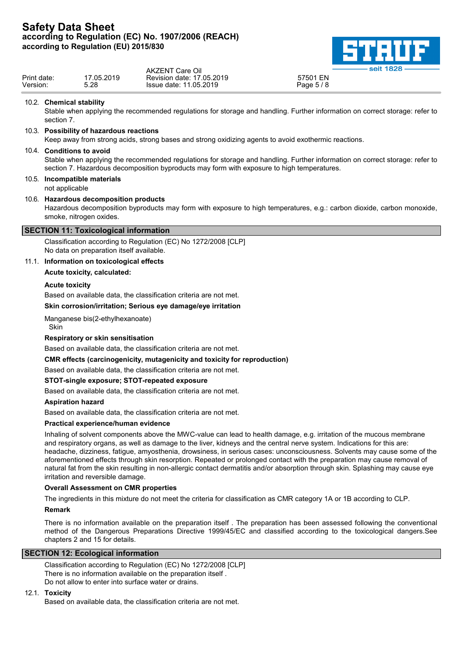

| Print date:<br>17.05.2019<br>EN<br>Revision date: 17,05,2019<br>57501 |          |      | <b>AKZENT Care Oil</b> | seit 1828  |  |
|-----------------------------------------------------------------------|----------|------|------------------------|------------|--|
|                                                                       | Version. | 5.28 | Issue date: 11.05.2019 | Page 5 / 8 |  |

#### 10.2. **Chemical stability**

Stable when applying the recommended regulations for storage and handling. Further information on correct storage: refer to section 7.

### 10.3. **Possibility of hazardous reactions**

Keep away from strong acids, strong bases and strong oxidizing agents to avoid exothermic reactions.

### 10.4. **Conditions to avoid**

Stable when applying the recommended regulations for storage and handling. Further information on correct storage: refer to section 7. Hazardous decomposition byproducts may form with exposure to high temperatures.

# 10.5. **Incompatible materials**

not applicable

#### 10.6. **Hazardous decomposition products**

Hazardous decomposition byproducts may form with exposure to high temperatures, e.g.: carbon dioxide, carbon monoxide, smoke, nitrogen oxides.

### **SECTION 11: Toxicological information**

Classification according to Regulation (EC) No 1272/2008 [CLP] No data on preparation itself available.

#### 11.1. **Information on toxicological effects**

**Acute toxicity, calculated:**

#### **Acute toxicity**

Based on available data, the classification criteria are not met.

### **Skin corrosion/irritation; Serious eye damage/eye irritation**

Manganese bis(2-ethylhexanoate) Skin **Skin** in the state of the state of the state of the state of the state of the state of the state of the state of the state of the state of the state of the state of the state of the state of the state of the state of

## **Respiratory or skin sensitisation**

Based on available data, the classification criteria are not met.

**CMR effects (carcinogenicity, mutagenicity and toxicity for reproduction)**

Based on available data, the classification criteria are not met.

#### **STOT-single exposure; STOT-repeated exposure**

Based on available data, the classification criteria are not met.

#### **Aspiration hazard**

Based on available data, the classification criteria are not met.

### **Practical experience/human evidence**

Inhaling of solvent components above the MWC-value can lead to health damage, e.g. irritation of the mucous membrane and respiratory organs, as well as damage to the liver, kidneys and the central nerve system. Indications for this are: headache, dizziness, fatigue, amyosthenia, drowsiness, in serious cases: unconsciousness. Solvents may cause some of the aforementioned effects through skin resorption. Repeated or prolonged contact with the preparation may cause removal of natural fat from the skin resulting in non-allergic contact dermatitis and/or absorption through skin. Splashing may cause eye irritation and reversible damage.

#### **Overall Assessment on CMR properties**

The ingredients in this mixture do not meet the criteria for classification as CMR category 1A or 1B according to CLP.

#### **Remark**

There is no information available on the preparation itself . The preparation has been assessed following the conventional method of the Dangerous Preparations Directive 1999/45/EC and classified according to the toxicological dangers.See chapters 2 and 15 for details.

#### **SECTION 12: Ecological information**

Classification according to Regulation (EC) No 1272/2008 [CLP] There is no information available on the preparation itself . Do not allow to enter into surface water or drains.

#### 12.1. **Toxicity**

Based on available data, the classification criteria are not met.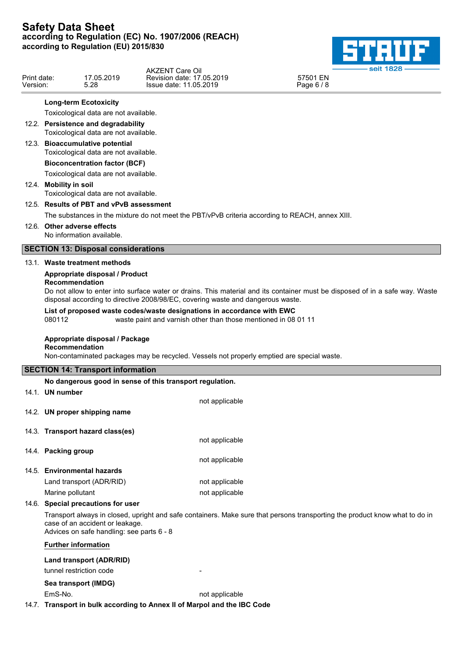

|             |            | <b>AKZENT Care Oil</b>      | -seit 182P |  |
|-------------|------------|-----------------------------|------------|--|
| Print date: | 17.05.2019 | Revision date: 17.05.2019   | 57501 EN   |  |
| Version:    | 5.28       | 05.2019.،<br>Issue date: 11 | Page $6/8$ |  |

## **Long-term Ecotoxicity**

Toxicological data are not available.

12.2. **Persistence and degradability** Toxicological data are not available. 12.3. **Bioaccumulative potential** Toxicological data are not available.

> **Bioconcentration factor (BCF)** Toxicological data are not available.

12.4. **Mobility in soil** Toxicological data are not available.

# 12.5. **Results of PBT and vPvB assessment**

The substances in the mixture do not meet the PBT/vPvB criteria according to REACH, annex XIII.

## 12.6. **Other adverse effects**

No information available.

## **SECTION 13: Disposal considerations**

#### 13.1. **Waste treatment methods**

## **Appropriate disposal / Product**

## **Recommendation**

Do not allow to enter into surface water or drains. This material and its container must be disposed of in a safe way. Waste disposal according to directive 2008/98/EC, covering waste and dangerous waste.

### **List of proposed waste codes/waste designations in accordance with EWC**

080112 waste paint and varnish other than those mentioned in 08 01 11

## **Appropriate disposal / Package**

## **Recommendation**

Non-contaminated packages may be recycled. Vessels not properly emptied are special waste.

### **SECTION 14: Transport information**

#### **No dangerous good in sense of this transport regulation.**

14.1. **UN number**

- 
- 14.2. **UN proper shipping name**

## 14.3. **Transport hazard class(es)**

- 14.4. **Packing group**
- 14.5. **Environmental hazards**
	-

Land transport (ADR/RID) not applicable Marine pollutant not applicable

not applicable

not applicable

not applicable

#### 14.6. **Special precautions for user**

Transport always in closed, upright and safe containers. Make sure that persons transporting the product know what to do in case of an accident or leakage.

Advices on safe handling: see parts 6 - 8

#### **Further information**

### **Land transport (ADR/RID)**

tunnel restriction code

## **Sea transport (IMDG)**

EmS-No. **not** applicable

14.7. **Transport in bulk according to Annex II of Marpol and the IBC Code**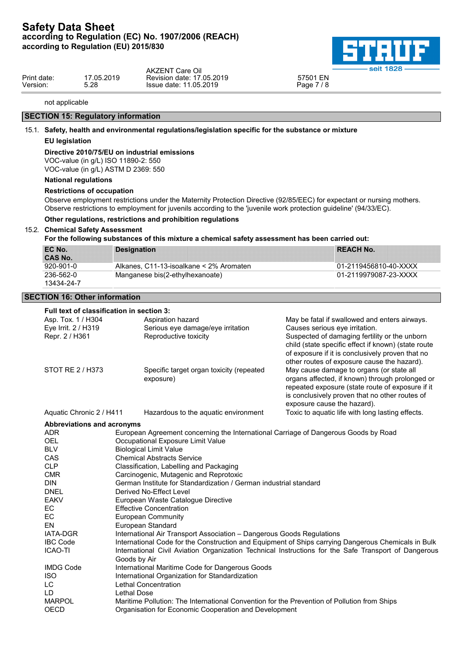

|             |           | <b>AKZENT Care Oil</b>    | <b>Seit 1626 -</b> |  |
|-------------|-----------|---------------------------|--------------------|--|
| Print date: | 7.05.2019 | Revision date: 17,05,2019 | 57501 EN           |  |
| Version:    | 5.28      | Issue date: 11.05.2019    | Page 7 / 8         |  |
|             |           |                           |                    |  |

#### not applicable

## **SECTION 15: Regulatory information**

## 15.1. **Safety, health and environmental regulations/legislation specific for the substance or mixture**

### **EU legislation**

### **Directive 2010/75/EU on industrial emissions**

VOC-value (in g/L) ISO 11890-2: 550 VOC-value (in g/L) ASTM D 2369: 550

## **National regulations**

### **Restrictions of occupation**

Observe employment restrictions under the Maternity Protection Directive (92/85/EEC) for expectant or nursing mothers. Observe restrictions to employment for juvenils according to the 'juvenile work protection guideline' (94/33/EC).

### **Other regulations, restrictions and prohibition regulations**

#### 15.2. **Chemical Safety Assessment**

**For the following substances of this mixture a chemical safety assessment has been carried out:**

| EC No.         | <b>Designation</b>                      | <b>REACH No.</b>      |  |
|----------------|-----------------------------------------|-----------------------|--|
| <b>CAS No.</b> |                                         |                       |  |
| 920-901-0      | Alkanes, C11-13-isoalkane < 2% Aromaten | 01-2119456810-40-XXXX |  |
| 236-562-0      | Manganese bis(2-ethylhexanoate)         | 01-2119979087-23-XXXX |  |
| 13434-24-7     |                                         |                       |  |

### **SECTION 16: Other information**

| Full text of classification in section 3: |                                                                                                     |                                                                                                             |                                                                                                         |  |  |
|-------------------------------------------|-----------------------------------------------------------------------------------------------------|-------------------------------------------------------------------------------------------------------------|---------------------------------------------------------------------------------------------------------|--|--|
| Asp. Tox. 1 / H304                        | Aspiration hazard                                                                                   |                                                                                                             | May be fatal if swallowed and enters airways.                                                           |  |  |
| Eye Irrit. 2 / H319                       |                                                                                                     | Serious eye damage/eye irritation                                                                           | Causes serious eye irritation.                                                                          |  |  |
| Repr. 2 / H361                            |                                                                                                     | Reproductive toxicity                                                                                       | Suspected of damaging fertility or the unborn                                                           |  |  |
|                                           |                                                                                                     |                                                                                                             | child (state specific effect if known) (state route<br>of exposure if it is conclusively proven that no |  |  |
|                                           |                                                                                                     |                                                                                                             | other routes of exposure cause the hazard).                                                             |  |  |
| STOT RE 2 / H373                          |                                                                                                     | Specific target organ toxicity (repeated                                                                    | May cause damage to organs (or state all                                                                |  |  |
|                                           |                                                                                                     | exposure)                                                                                                   | organs affected, if known) through prolonged or<br>repeated exposure (state route of exposure if it     |  |  |
|                                           |                                                                                                     |                                                                                                             | is conclusively proven that no other routes of                                                          |  |  |
|                                           |                                                                                                     |                                                                                                             | exposure cause the hazard).                                                                             |  |  |
| Aquatic Chronic 2 / H411                  |                                                                                                     | Hazardous to the aquatic environment                                                                        | Toxic to aquatic life with long lasting effects.                                                        |  |  |
| Abbreviations and acronyms                |                                                                                                     |                                                                                                             |                                                                                                         |  |  |
| <b>ADR</b>                                |                                                                                                     | European Agreement concerning the International Carriage of Dangerous Goods by Road                         |                                                                                                         |  |  |
| OEL                                       |                                                                                                     | Occupational Exposure Limit Value                                                                           |                                                                                                         |  |  |
| <b>BLV</b>                                |                                                                                                     | <b>Biological Limit Value</b>                                                                               |                                                                                                         |  |  |
| CAS                                       |                                                                                                     | <b>Chemical Abstracts Service</b>                                                                           |                                                                                                         |  |  |
| <b>CLP</b>                                |                                                                                                     | Classification, Labelling and Packaging                                                                     |                                                                                                         |  |  |
| <b>CMR</b>                                |                                                                                                     | Carcinogenic, Mutagenic and Reprotoxic<br>German Institute for Standardization / German industrial standard |                                                                                                         |  |  |
| <b>DIN</b><br><b>DNEL</b>                 |                                                                                                     | Derived No-Effect Level                                                                                     |                                                                                                         |  |  |
| <b>EAKV</b>                               |                                                                                                     | European Waste Catalogue Directive                                                                          |                                                                                                         |  |  |
| EC                                        |                                                                                                     | <b>Effective Concentration</b>                                                                              |                                                                                                         |  |  |
| EC                                        |                                                                                                     | <b>European Community</b>                                                                                   |                                                                                                         |  |  |
| EN                                        |                                                                                                     | European Standard                                                                                           |                                                                                                         |  |  |
| <b>IATA-DGR</b>                           |                                                                                                     | International Air Transport Association - Dangerous Goods Regulations                                       |                                                                                                         |  |  |
| <b>IBC Code</b>                           | International Code for the Construction and Equipment of Ships carrying Dangerous Chemicals in Bulk |                                                                                                             |                                                                                                         |  |  |
| <b>ICAO-TI</b>                            |                                                                                                     |                                                                                                             | International Civil Aviation Organization Technical Instructions for the Safe Transport of Dangerous    |  |  |
|                                           | Goods by Air                                                                                        |                                                                                                             |                                                                                                         |  |  |
| <b>IMDG Code</b>                          | International Maritime Code for Dangerous Goods                                                     |                                                                                                             |                                                                                                         |  |  |
| <b>ISO</b>                                |                                                                                                     | International Organization for Standardization                                                              |                                                                                                         |  |  |
| <b>LC</b><br>LD.                          | <b>Lethal Dose</b>                                                                                  | Lethal Concentration                                                                                        |                                                                                                         |  |  |
| <b>MARPOL</b>                             |                                                                                                     | Maritime Pollution: The International Convention for the Prevention of Pollution from Ships                 |                                                                                                         |  |  |
| <b>OECD</b>                               |                                                                                                     | Organisation for Economic Cooperation and Development                                                       |                                                                                                         |  |  |
|                                           |                                                                                                     |                                                                                                             |                                                                                                         |  |  |